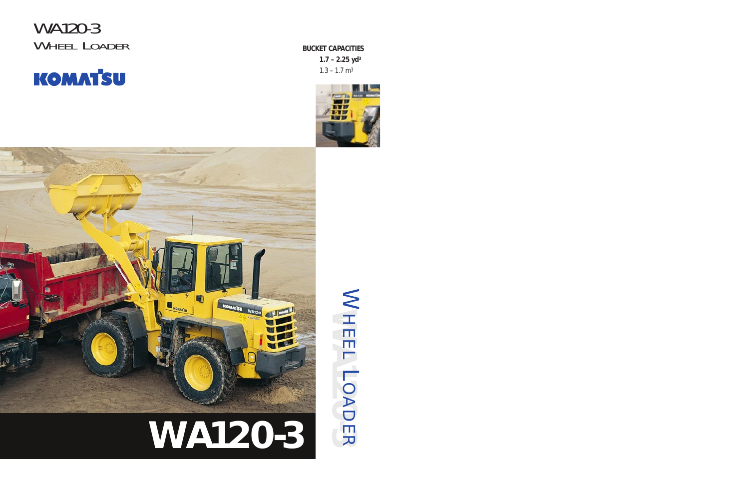WA120-3 WHEEL LOADER **BUCKET CAPACITIES**



**1.7 – 2.25 yd3**  $1.3 - 1.7$  m<sup>3</sup>





# LOADER**WA120-3**

**WALL LOADER** WHEEL LOADER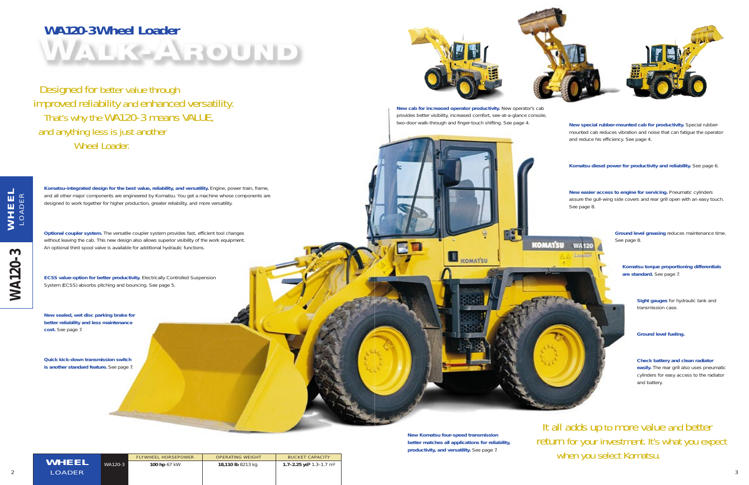**Komatsu diesel power for productivity and reliability.** See page 6.

**New Komatsu four-speed transmission better matches all applications for reliability, productivity, and versatility.** See page 7.

**Komatsu torque proportioning differentials are standard.** See page 7.

**New special rubber-mounted cab for productivity.** Special rubbermounted cab reduces vibration and noise that can fatigue the operator and reduce his efficiency. See page 4.

It all adds up to more value and better return for your investment. It's what you expect when you select Komatsu.

**New easier access to engine for servicing.** Pneumatic cylinders assure the gull-wing side covers and rear grill open with an easy touch. See page 8.



Designed for better value through improved reliability and enhanced versatility. That's why the WA120-3 means VALUE, and anything less is just another Wheel Loader.

> **Check battery and clean radiator easily.** The rear grill also uses pneumatic cylinders for easy access to the radiator and battery.

# **WA120-3 Wheel Loader** WALK-AROUND

**WA120-3 WHEEL WA120-3** 

**Ground level greasing** reduces maintenance time. See page 8.

> **Sight gauges** for hydraulic tank and transmission case.

**Ground level fueling.**

**ECSS value-option for better productivity.** Electrically Controlled Suspension System (ECSS) absorbs pitching and bouncing. See page 5.

**New cab for increased operator productivity.** New operator's cab provides better visibility, increased comfort, see-at-a-glance console, two-door walk-through and finger-touch shifting. See page 4.

**KOMAT'SU** 



| WHEEL |        |
|-------|--------|
|       | LOADER |

FLYWHEEL HORSEPOWER | OPERATING WEIGHT | BUCKET CAPACITY

**Komatsu-integrated design for the best value, reliability, and versatility.** Engine, power train, frame,

and all other major components are engineered by Komatsu. You get a machine whose components are designed to work together for higher production, greater reliability, and more versatility.

**New sealed, wet disc parking brake for better reliability and less maintenance cost.** See page 7.

**Quick kick-down transmission switch is another standard feature.** See page 7.



**Optional coupler system.** The versatile coupler system provides fast, efficient tool changes without leaving the cab. This new design also allows superior visibility of the work equipment. An optional third spool valve is available for additional hydraulic functions.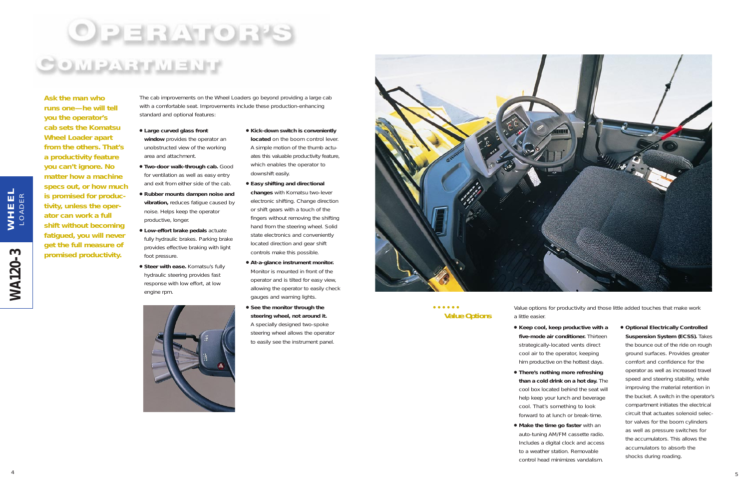# $\begin{array}{cccccccccccccc} \bullet & \bullet & \bullet & \bullet & \bullet & \bullet & \bullet & \bullet \end{array}$ **Value Options**

● **Keep cool, keep productive with a five-mode air conditioner.** Thirteen strategically-located vents direct cool air to the operator, keeping him productive on the hottest days.

● **Optional Electrically Controlled Suspension System (ECSS).** Takes the bounce out of the ride on rough ground surfaces. Provides greater comfort and confidence for the operator as well as increased travel speed and steering stability, while improving the material retention in the bucket. A switch in the operator's compartment initiates the electrical circuit that actuates solenoid selector valves for the boom cylinders as well as pressure switches for the accumulators. This allows the accumulators to absorb the shocks during roading.

- a little easier.
- 
- **There's nothing more refreshing than a cold drink on a hot day.** The cool box located behind the seat will help keep your lunch and beverage cool. That's something to look forward to at lunch or break-time.
- **Make the time go faster** with an auto-tuning AM/FM cassette radio. Includes a digital clock and access to a weather station. Removable control head minimizes vandalism.
- Large curved glass front **window** provides the operator an unobstructed view of the working area and attachment.
- **Two-door walk-through cab.** Good for ventilation as well as easy entry and exit from either side of the cab.
- **Rubber mounts dampen noise and vibration,** reduces fatigue caused by noise. Helps keep the operator productive, longer.
- **Low-effort brake pedals** actuate fully hydraulic brakes. Parking brake provides effective braking with light foot pressure.
- Steer with ease. Komatsu's fully hydraulic steering provides fast response with low effort, at low engine rpm.



Value options for productivity and those little added touches that make work

**WA120-3 WHEEL**

**WA120-3** 

WHEEL<br>LOADER

*Ask the man who runs one—he will tell you the operator's cab sets the Komatsu Wheel Loader apart from the others. That's a productivity feature you can't ignore. No matter how a machine specs out, or how much is promised for productivity, unless the operator can work a full shift without becoming fatigued, you will never get the full measure of promised productivity.*

4

- **Kick-down switch is conveniently located** on the boom control lever. A simple motion of the thumb actuates this valuable productivity feature, which enables the operator to downshift easily.
- **Easy shifting and directional changes** with Komatsu two-lever electronic shifting. Change direction or shift gears with a touch of the fingers without removing the shifting hand from the steering wheel. Solid state electronics and conveniently located direction and gear shift controls make this possible.
- **At-a-glance instrument monitor.** Monitor is mounted in front of the operator and is tilted for easy view, allowing the operator to easily check gauges and warning lights.
- **See the monitor through the steering wheel, not around it.** A specially designed two-spoke steering wheel allows the operator to easily see the instrument panel.



The cab improvements on the Wheel Loaders go beyond providing a large cab with a comfortable seat. Improvements include these production-enhancing standard and optional features: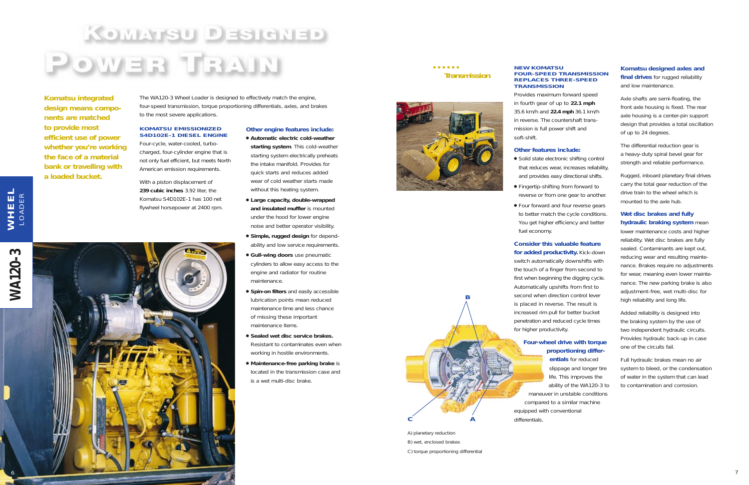# KOMATSU DESIGNED POWER TRAIN

*Komatsu integrated design means components are matched to provide most efficient use of power whether you're working the face of a material bank or travelling with a loaded bucket.* 

The WA120-3 Wheel Loader is designed to effectively match the engine, four-speed transmission, torque proportioning differentials, axles, and brakes to the most severe applications.

# **KOMATSU EMISSIONIZED S4D102E-1 DIESEL ENGINE**

Four-cycle, water-cooled, turbocharged, four-cylinder engine that is not only fuel efficient, but meets North American emission requirements.

With a piston displacement of **239 cubic inches** 3.92 liter, the Komatsu S4D102E-1 has 100 net flywheel horsepower at 2400 rpm.

> ● **Spin-on filters** and easily accessible lubrication points mean reduced maintenance time and less chance of missing these important

**Other engine features include:** ● **Automatic electric cold-weather starting system**. This cold-weather starting system electrically preheats the intake manifold. Provides for quick starts and reduces added wear of cold weather starts made without this heating system.

● Solid state electronic shifting control that reduces wear, increases reliability, and provides easy directional shifts.

● Fingertip-shifting from forward to reverse or from one gear to another.

● **Large capacity, double-wrapped and insulated muffler** is mounted under the hood for lower engine noise and better operator visibility. ● **Simple, rugged design** for dependability and low service requirements. ● Gull-wing doors use pneumatic cylinders to allow easy access to the engine and radiator for routine

● Four forward and four reverse gears to better match the cycle conditions. You get higher efficiency and better

maintenance.

maintenance items.

● **Sealed wet disc service brakes.** Resistant to contaminates even when working in hostile environments. ● **Maintenance-free parking brake** is located in the transmission case and

is a wet multi-disc brake.

# **WA120-3 WHEEL** WHEEL LOADER S **WA120-**6



 $\begin{array}{cccccccccccccc} \bullet & \bullet & \bullet & \bullet & \bullet & \bullet & \bullet & \bullet \end{array}$ 

# **NEW KOMATSU FOUR-SPEED TRANSMISSION REPLACES THREE-SPEED**

**TRANSMISSION**

Provides maximum forward speed in fourth gear of up to **22.1 mph**  35.6 km/h and **22.4 mph** 36.1 km/h in reverse. The countershaft transmission is full power shift and soft-shift.

# **Other features include:**

- 
- 
- fuel economy.

**Consider this valuable feature for added productivity.** Kick-down switch automatically downshifts with the touch of a finger from second to first when beginning the digging cycle. Automatically upshifts from first to second when direction control lever is placed in reverse. The result is increased rim pull for better bucket penetration and reduced cycle times

for higher productivity.

# **Four-wheel drive with torque proportioning differ-**

**entials** for reduced slippage and longer tire life. This improves the ability of the WA120-3 to maneuver in unstable conditions compared to a similar machine equipped with conventional differentials.

# **Komatsu designed axles and final drives** for rugged reliability and low maintenance.

Axle shafts are semi-floating, the front axle housing is fixed. The rear axle housing is a center-pin support design that provides a total oscillation of up to 24 degrees.

The differential reduction gear is a heavy-duty spiral bevel gear for strength and reliable performance.

Rugged, inboard planetary final drives carry the total gear reduction of the drive train to the wheel which is mounted to the axle hub.

**Wet disc brakes and fully hydraulic braking system** mean lower maintenance costs and higher reliability. Wet disc brakes are fully sealed. Contaminants are kept out, reducing wear and resulting maintenance. Brakes require no adjustments for wear, meaning even lower maintenance. The new parking brake is also adjustment-free, wet multi-disc for high reliability and long life.

Added reliability is designed into the braking system by the use of two independent hydraulic circuits. Provides hydraulic back-up in case one of the circuits fail.

Full hydraulic brakes mean no air system to bleed, or the condensation of water in the system that can lead to contamination and corrosion.

**Transmission**

A) planetary reduction B) wet, enclosed brakes C) torque proportioning differential

**B**

**C A**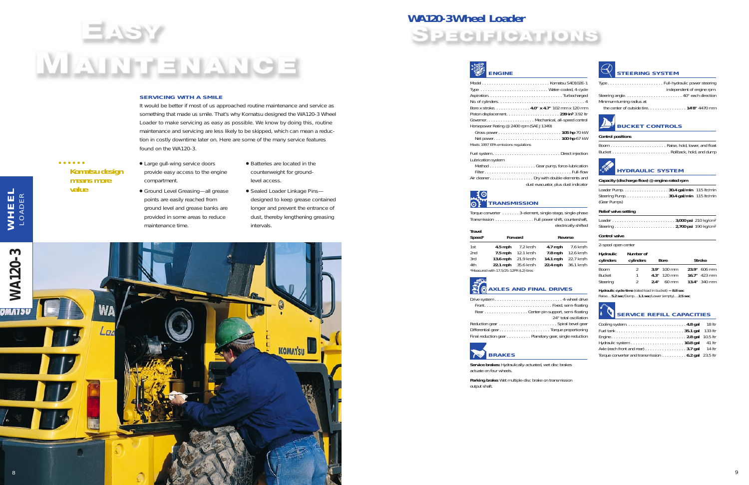# **WA120-3 Wheel Loader SPECIFICATIONS**



Komatsu S4D102F-1 Water-cooled, 4-cycle  $\ldots \ldots$  . Turbocharged . . . . . . . . . . . . . . . . 4 Bore x stroke. . . . . . . . . . . . . . . **4.0" x 4.7"** 102 mm x 120 mm Piston displacement. . . . . . . . . . . . . . . . . . . . . . **239 in3** 3.92 ltr nical, all-speed control Gross power . . . . . . . . . . . . . . . . . . . . . . . . . . **105 hp** 70 kW

| Type  W                                  |
|------------------------------------------|
|                                          |
|                                          |
| Bore x stroke. 4.0" <b>x 4.7</b> "       |
| Piston displacement.                     |
|                                          |
| Horsepower Rating @ 2400 rpm (SAE J1349) |
|                                          |
| Net power                                |
| Meets 1997 EPA emissions regulations     |
|                                          |

Net power. . . . . . . . . . . . . . . . . . . . . . . . . . . . **100 hp** 67 kW

. . . . . Direct injection

ump, force-lubrication  $\ldots \ldots \ldots$  . Full-flow double elements and ator, plus dust indicator

| Lubrication system   |
|----------------------|
|                      |
|                      |
| Air cleaner Dry with |
| dust evacuat         |

. Fixed, semi-floating support, semi-floating 24° total oscillation



Torque converter . . . . . . . 3-element, single-stage, single-phase Transmission . . . . . . . . . . . . . . . . Full power shift, countershaft,

electrically shifted

# 35 **HYDRAULIC SYSTEM**

| Travel<br>Speed* |                                        | Forward   |           | Reverse   |
|------------------|----------------------------------------|-----------|-----------|-----------|
| 1st              | $4.5$ mph                              | 7.2 km/h  | $4.7$ mph | 7.6 km/h  |
| 2nd              | $7.5$ mph                              | 12.1 km/h | $7.8$ mph | 12.6 km/h |
| 3rd              | 13.6 mph                               | 21.9 km/h | 14.1 mph  | 22.7 km/h |
| 4th              | 22.1 mph                               | 35.6 km/h | 22.4 mph  | 36.1 km/h |
|                  | *Measured with 17.5/25-12PR (L2) tires |           |           |           |



|  |  | RearCenter-pin s |
|--|--|------------------|

## Q **SERVICE REFILL CAPACITIES**

Reduction gear . . . . . . . . . . . . . . . . . . . . . . . . Spiral bevel gear Differential gear . . . . . . . . . . . . . . . . . . . . . Torque proportioning Final reduction gear . . . . . . . . . . Planetary gear, single reduction



**Service brakes:** Hydraulically-actuated, wet disc brakes actuate on four wheels.

- $\begin{array}{cccccccccccccc} \bullet & \bullet & \bullet & \bullet & \bullet & \bullet & \bullet & \bullet \end{array}$ **Komatsu design means more value**
- Large gull-wing service doors provide easy access to the engine compartment.
- Ground Level Greasing—all grease points are easily reached from ground level and grease banks are provided in some areas to reduce maintenance time.
- Batteries are located in the counterweight for groundlevel access.
- Sealed Loader Linkage Pins designed to keep grease contained longer and prevent the entrance of dust, thereby lengthening greasing intervals.

**Parking brake:** Wet multiple-disc brake on transmission output shaft.





|                                   | independent of engine rpm. |
|-----------------------------------|----------------------------|
| Steering angle 40° each direction |                            |
| Minimum turning radius at         |                            |
|                                   |                            |



# **Control positions**

Boom . . . . . . . . . . . . . . . . . . . . . . . Raise, hold, lower, and float Bucket . . . . . . . . . . . . . . . . . . . . . . . . Rollback, hold, and dump

# **Capacity (discharge flow) @ engine rated rpm**

| Loader Pump. 30.4 gal/min 115 ltr/min  |  |
|----------------------------------------|--|
| Steering Pump 30.4 gal/min 115 ltr/min |  |
| (Gear Pumps)                           |  |

# **Relief valve setting**

# **Control valve**

2-spool open center

| Hydraulic<br>cylinders | Number of<br>cylinders | <b>Bore</b>   | <b>Stroke</b>  |
|------------------------|------------------------|---------------|----------------|
| Boom                   | $\mathcal{P}$          | $3.9"$ 100 mm | 23.9" 606 mm   |
| Bucket                 | 1                      | $4.3"$ 120 mm | $16.7"$ 423 mm |
| Steering               | $\mathcal{P}$          | 2.4"<br>60 mm | 13.4" 340 mm   |
|                        |                        |               |                |

**Hydraulic cycle time** (rated load in bucket) = **8.8 sec** Raise…**5.2 sec**/Dump…**1.1 sec**/Lower (empty)…**2.5 sec**

| Axle (each front and rear) $\dots \dots \dots \dots \dots 3.7$ gal 14 It |  |
|--------------------------------------------------------------------------|--|
| Torque converter and transmission 6.2 gal 23.5 ltr                       |  |

# 

# **SERVICING WITH A SMILE**

It would be better if most of us approached routine maintenance and service as something that made us smile. That's why Komatsu designed the WA120-3 Wheel Loader to make servicing as easy as possible. We know by doing this, routine maintenance and servicing are less likely to be skipped, which can mean a reduction in costly downtime later on. Here are some of the many service features found on the WA120-3.

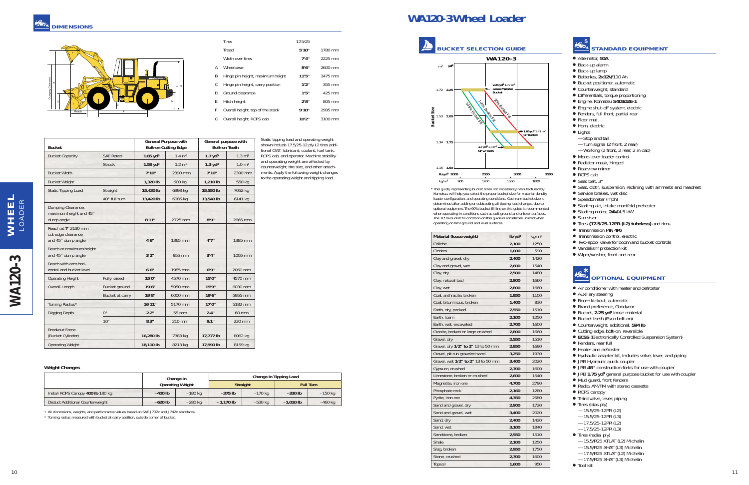# **STANDARD EQUIPMENT**

- Alternator, **50A**
- Back-up alarm
- Back-up lamp
- Batteries, **2x12V**/110 Ah
- Bucket positioner, automatic
- Counterweight, standard
- Differentials, torque proportioning
- Engine, Komatsu **S4D102E-1**
- Engine shut-off system, electric
- Fenders, full front, partial rear
- Floor mat
- Horn, electric
- Lights
- —Stop and tail
- —Turn signal (2 front, 2 rear)
- —Working (2 front, 2 rear, 2 in cab)
- Mono lever loader control
- Radiator mask, hinged
- Rearview mirror
- ROPS cab
- Seat belt, 3'
- Seat, cloth, suspension, reclining with armrests and headrest
- Service brakes, wet disc
- Speedometer (mph)
- Starting aid, intake manifold preheater
- Starting motor, **24V**/4.5 kW
- Sun visor
- Tires **(17.5/25-12PR (L2) tubeless)** and rims
- Transmission **(4F, 4R)**
- Transmission control, electric
- Two-spool valve for boom and bucket controls
- Vandalism protection kit
- Wiper/washer, front and rear

# **OPTIONAL EQUIPMENT**

- Air conditioner with heater and defroster
- Auxiliary steering
- Boom kickout, automatic
- Brand preference, Goodyear
- Bucket, 2.25 yd<sup>3</sup> loose material
- Bucket teeth (Esco bolt-on)
- Counterweight, additional, **594 lb**
- Cutting edge, bolt-on, reversible
- **ECSS** (Electronically Controlled Suspension System)
- Fenders, rear full
- Heater and defroster
- Hydraulic adapter kit, includes valve, lever, and piping
- JRB Hydraulic quick coupler
- JRB **48"** construction forks for use with coupler
- JRB **1.75 yd<sup>3</sup> general purpose bucket for use with coupler**
- Mud guard, front fenders
- Radio, AM/FM with stereo cassette
- ROPS canopy
- Third valve, lever, piping
- Tires (bias ply)
- $-15.5/25-12$ PR (L2)
- —15.5/25-12PR (L3) —17.5/25-12PR (L2)
- $-17.5/25 12$ PR $(1.3)$
- Tires (radial ply)
- —15.5/R25 XTLAT (L2) Michelin
- —15.5/R25 XHAT (L3) Michelin
- —17.5/R25 XTLAT (L2) Michelin —17.5/R25 XHAT (L3) Michelin
- Tool kit

# **WA120-3 Wheel Loader**

| Material (loose weight)            | Ib/yd <sup>3</sup> | kg/m <sup>3</sup> |
|------------------------------------|--------------------|-------------------|
| Caliche                            | 2,100              | 1250              |
| Cinders                            | 1,000              | 590               |
| Clay and gravel, dry               | 2,400              | 1420              |
| Clay and gravel, wet               | 2,600              | 1540              |
| Clay, dry                          | 2,500              | 1480              |
| Clay, natural bed                  | 2,800              | 1660              |
| Clay, wet                          | 2,800              | 1660              |
| Coal, anthracite, broken           | 1,850              | 1100              |
| Coal, bituminous, broken           | 1,400              | 830               |
| Earth, dry, packed                 | 2,550              | 1510              |
| Earth, Ioam                        | 2,100              | 1250              |
| Earth, wet, excavated              | 2,700              | 1600              |
| Granite, broken or large crushed   | 2,800              | 1660              |
| Gravel, dry                        | 2,550              | 1510              |
| Gravel, dry 1/2" to 2" 13 to 50 mm | 2,850              | 1690              |
| Gravel, pit run graveled sand      | 3,250              | 1930              |
| Gravel, wet 1/2" to 2" 13 to 50 mm | 3,400              | 2020              |
| Gypsum, crushed                    | 2,700              | 1600              |
| Limestone, broken or crushed       | 2,600              | 1540              |
| Magnetite, iron ore                | 4,700              | 2790              |
| Phosphate rock                     | 2,160              | 1280              |
| Pyrite, iron ore                   | 4,350              | 2580              |
| Sand and gravel, dry               | 2,900              | 1720              |
| Sand and gravel, wet               | 3,400              | 2020              |
| Sand, dry                          | 2,400              | 1420              |
| Sand, wet                          | 3,100              | 1840              |
| Sandstone, broken                  | 2,550              | 1510              |
| Shale                              | 2,100              | 1250              |
| Slag, broken                       | 2,950              | 1750              |
| Stone, crushed                     | 2,700              | 1600              |
| Topsoil                            | 1,600              | 950               |



\* This guide, representing bucket sizes not necessarily manufactured by Komatsu, will help you select the proper bucket size for material density, loader configuration, and operating conditions. Optimum bucket size is determined after adding or subtracting all tipping load changes due to optional equipment. The 90% bucket fill line on this guide is recommended when operating in conditions such as soft ground and unlevel surfaces. The 105% bucket fill condition on this guide is sometimes utilized when operating on firm ground and level surfaces.

# **Weight Changes**

|                                   |           | Change in               | Change in Tipping Load |                 |                  |           |  |  |  |  |  |  |
|-----------------------------------|-----------|-------------------------|------------------------|-----------------|------------------|-----------|--|--|--|--|--|--|
|                                   |           | <b>Operating Weight</b> |                        | <b>Straight</b> | <b>Full Turn</b> |           |  |  |  |  |  |  |
| Install ROPS Canopy 400 lb 180 kg | $-400$ lb | $-180$ kg               | $-375$ lb              | $-170$ kg       | $-330$ lb        | $-150$ kg |  |  |  |  |  |  |
| Deduct Additional Counterweight   | $-620$ lb | $-280$ kg               | $-1.170$ lb            | $-530$ kg       | $-1.010$ lb      | $-460$ kg |  |  |  |  |  |  |

• All dimensions, weights, and performance values based on SAE J732c and J742b standards.

\* Turning radius measured with bucket at carry position, outside corner of bucket.



|   | <b>Tires</b>                     | 17.5/25 |         |  |
|---|----------------------------------|---------|---------|--|
|   | Tread                            | 5'10"   | 1780 mm |  |
|   | Width over tires                 | 7'4''   | 2225 mm |  |
| Α | Wheelbase                        | 8'6''   | 2600 mm |  |
| B | Hinge pin height, maximum height | 11'5''  | 3475 mm |  |
| C | Hinge pin height, carry position | 1'2''   | 355 mm  |  |
| D | Ground clearance                 | 1'5''   | 425 mm  |  |
| E | Hitch height                     | 2's''   | 805 mm  |  |
| F | Overall height, top of the stack | 9'10"   | 2995 mm |  |
| G | Overall height, ROPS cab         | 10'2"   | 3100 mm |  |

**General Purpose with General purpose with Bucket Bolt-on Cutting Edge Bolt-on Teeth** Bucket Capacity SAE Rated **1.85 yd3** 1.4 m3 **1.7 yd3** 1.3 m3 Struck **1.58 yd3** 1.2 m3 **1.3 yd3** 1.0 m3 Bucket Width **7'10"** 2390 mm **7'10"** 2390 mm Bucket Weight **1,320 lb 1,320 lb** 600 kg **1,210 lb** 550 kg Static Tipping Load Straight **15,430 lb** 6998 kg **15,550 lb** 7052 kg 40° full turn **13,420 lb** 6086 kg **13,540 lb** 6141 kg Dumping Clearance, maximum height and 45° dump angle **8'11"** 2725 mm **8'9"** 2665 mm Reach at **7'** 2130 mm cut edge clearance and 45° dump angle **4'6"** 1365 mm **4'7"** 1385 mm Reach at maximum height and 45° dump angle **3'2"** 955 mm **3'4"** 1005 mm Reach with arm horizontal and bucket level **6'6"** 1985 mm **6'9"** 2060 mm Operating Height Fully raised **15'0"** 4570 mm **15'0"** 4570 mm Overall Length Bucket ground **19'6"** 5950 mm **19'9"** 6030 mm Bucket at carry **19'8"** 6000 mm **19'6"** 5955 mm Turning Radius\* **16'11"** 5170 mm **17'0"** 5182 mm Digging Depth 0° **2.2"** 55 mm **2.4"** 60 mm 10° **8.3"** 210 mm **9.1"** 230 mm Breakout Force (Bucket Cylinder) **16,280 lb** 7383 kg **17,777 lb** 8062 kg Operating Weight **18,110 lb** 8213 kg **17,990 lb** 8159 kg

Static tipping load and operating weight shown include 17.5/25-12 ply L2 tires additional CWT, lubricant, coolant, fuel tank, ROPS cab, and operator. Machine stability and operating weight are affected by counterweight, tire size, and other attachments. Apply the following weight changes to the operating weight and tipping load.